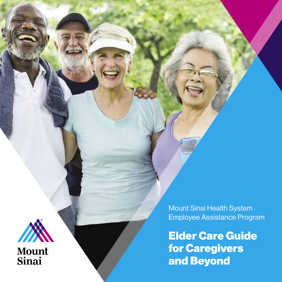

**Mount**<br>Sinai

Mount Sinai Health System Employee Assistance Program

Elder Care Guide for Caregivers and Beyond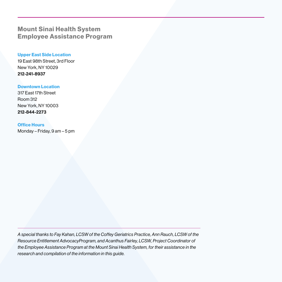## Mount Sinai Health System Employee Assistance Program

## Upper East Side Location

19 East 98th Street, 3rd Floor New York, NY 10029 212-241-8937

## Downtown Location

317 East 17th Street Room 312 New York, NY 10003 212-844-2273

## Office Hours

Monday – Friday, 9 am – 5 pm

*A special thanks to Fay Kahan, LCSW of the Coffey Geriatrics Practice, Ann Rauch, LCSW of the Resource Entitlement AdvocacyProgram, and Acanthus Fairley, LCSW, Project Coordinator of the Employee Assistance Program at the Mount Sinai Health System, for their assistance in the research and compilation of the information in this guide.*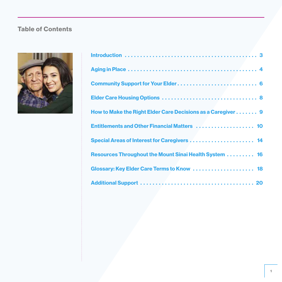# Table of Contents



| How to Make the Right Elder Care Decisions as a Caregiver 9 |
|-------------------------------------------------------------|
|                                                             |
| Special Areas of Interest for Caregivers  14                |
| Resources Throughout the Mount Sinai Health System 16       |
| Glossary: Key Elder Care Terms to Know  18                  |
|                                                             |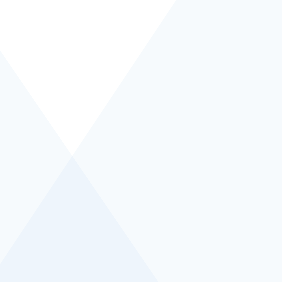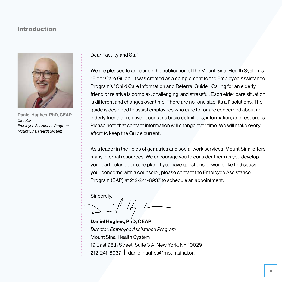# Introduction



Daniel Hughes, PhD, CEAP *Director Employee Assistance Program Mount Sinai Health System*

Dear Faculty and Staff:

We are pleased to announce the publication of the Mount Sinai Health System's "Elder Care Guide." It was created as a complement to the Employee Assistance Program's "Child Care Information and Referral Guide." Caring for an elderly friend or relative is complex, challenging, and stressful. Each elder care situation is different and changes over time. There are no "one size fits all" solutions. The guide is designed to assist employees who care for or are concerned about an elderly friend or relative. It contains basic definitions, information, and resources. Please note that contact information will change over time. We will make every effort to keep the Guide current.

As a leader in the fields of geriatrics and social work services, Mount Sinai offers many internal resources. We encourage you to consider them as you develop your particular elder care plan. If you have questions or would like to discuss your concerns with a counselor, please contact the Employee Assistance Program (EAP) at 212-241-8937 to schedule an appointment.

Sincerely,

Daniel Hughes, PhD, CEAP *Director, Employee Assistance Program* Mount Sinai Health System 19 East 98th Street, Suite 3 A, New York, NY 10029 212-241-8937 | daniel.hughes@mountsinai.org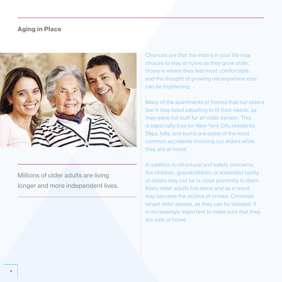## Aging in Place



Millions of older adults are living longer and more independent lives.

Chances are that the elders in your life may choose to stay at home as they grow older. Home is where they feel most comfortable, and the thought of growing old anywhere else can be frightening.

Many of the apartments or homes that our elders live in may need adjusting to fit their needs, as they were not built for an older person. This is especially true for New York City residents. Slips, falls, and burns are some of the most common accidents involving our elders while they are at home.

In addition to structural and safety concerns, the children, grandchildren, or extended family of elders may not be in close proximity to them. Many older adults live alone and as a result, may become the victims of crimes. Criminals target older people, as they can be isolated. It is increasingly important to make sure that they are safe at home.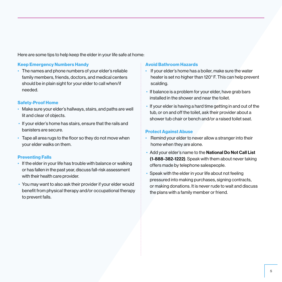Here are some tips to help keep the elder in your life safe at home:

## Keep Emergency Numbers Handy

• The names and phone numbers of your elder's reliable family members, friends, doctors, and medical centers should be in plain sight for your elder to call when/if needed.

## Safety-Proof Home

- Make sure your elder's hallways, stairs, and paths are well lit and clear of objects.
- If your elder's home has stairs, ensure that the rails and banisters are secure.
- Tape all area rugs to the floor so they do not move when your elder walks on them.

## Preventing Falls

- If the elder in your life has trouble with balance or walking or has fallen in the past year, discuss fall-risk assessment with their health care provider.
- You may want to also ask their provider if your elder would benefit from physical therapy and/or occupational therapy to prevent falls.

## Avoid Bathroom Hazards

- If your elder's home has a boiler, make sure the water heater is set no higher than 120° F. This can help prevent scalding.
- If balance is a problem for your elder, have grab bars installed in the shower and near the toilet.
- If your elder is having a hard time getting in and out of the tub, or on and off the toilet, ask their provider about a shower tub chair or bench and/or a raised toilet seat.

## Protect Against Abuse

- Remind your elder to never allow a stranger into their home when they are alone.
- Add your elder's name to the National Do Not Call List (1-888-382-1222). Speak with them about never taking offers made by telephone salespeople.
- Speak with the elder in your life about not feeling pressured into making purchases, signing contracts, or making donations. It is never rude to wait and discuss the plans with a family member or friend.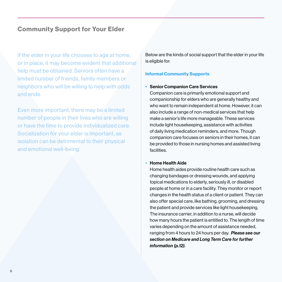# Community Support for Your Elder

If the elder in your life chooses to age at home, or in place, it may become evident that additional help must be obtained. Seniors often have a limited number of friends, family members or neighbors who will be willing to help with odds and ends.

Even more important, there may be a limited number of people in their lives who are willing or have the time to provide individualized care. Socialization for your elder is important, as isolation can be detrimental to their physical and emotional well-being.

Below are the kinds of social support that the elder in your life is eligible for:

## Informal Community Supports

## • Senior Companion Care Services

 Companion care is primarily emotional support and companionship for elders who are generally healthy and who want to remain independent at home. However, it can also include a range of non-medical services that help make a senior's life more manageable. These services include light housekeeping, assistance with activities of daily living medication reminders, and more. Though companion care focuses on seniors in their homes, it can be provided to those in nursing homes and assisted living facilities.

## • Home Health Aide

 Home health aides provide routine health care such as changing bandages or dressing wounds, and applying topical medications to elderly, seriously ill, or disabled people at home or in a care facility. They monitor or report changes in the health status of a client or patient. They can also offer special care, like bathing, grooming, and dressing the patient and provide services like light housekeeping. The insurance carrier, in addition to a nurse, will decide how many hours the patient is entitled to. The length of time varies depending on the amount of assistance needed, ranging from 4 hours to 24 hours per day. *Please see our section on Medicare and Long Term Care for further information (p.12).*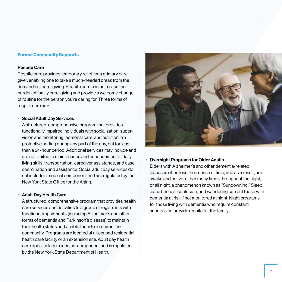#### Formal Community Supports

#### Respite Care

Respite care provides temporary relief for a primary caregiver, enabling one to take a much-needed break from the demands of care-giving. Respite care can help ease the burden of family care-giving and provide a welcome change of routine for the person you're caring for. Three forms of respite care are:

#### • Social Adult Day Services

 A structured, comprehensive program that provides functionally impaired individuals with socialization, supervision and monitoring, personal care, and nutrition in a protective setting during any part of the day, but for less than a 24-hour period. Additional services may include and are not limited to maintenance and enhancement of daily living skills, transportation, caregiver assistance, and case coordination and assistance. Social adult day services do not include a medical component and are regulated by the New York State Office for the Aging.

#### • Adult Day Health Care

 A structured, comprehensive program that provides health care services and activities to a group of registrants with functional impairments (including Alzheimer's and other forms of dementia and Parkinson's disease) to maintain their health status and enable them to remain in the community. Programs are located at a licensed residential health care facility or an extension site. Adult day health care does include a medical component and is regulated by the New York State Department of Health.



#### • Overnight Programs for Older Adults

 Elders with Alzheimer's and other dementia-related diseases often lose their sense of time, and as a result, are awake and active, either many times throughout the night, or all night, a phenomenon known as "Sundowning." Sleep disturbances, confusion, and wandering can put those with dementia at risk if not monitored at night. Night programs for those living with dementia who require constant supervision provide respite for the family.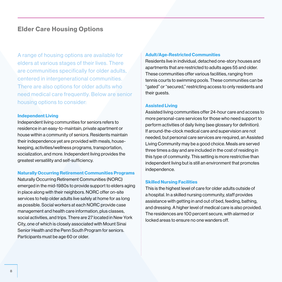## Elder Care Housing Options

A range of housing options are available for elders at various stages of their lives. There are communities specifically for older adults, centered in intergenerational communities. There are also options for older adults who need medical care frequently. Below are senior housing options to consider:

#### Independent Living

Independent living communities for seniors refers to residence in an easy-to-maintain, private apartment or house within a community of seniors. Residents maintain their independence yet are provided with meals, housekeeping, activities/wellness programs, transportation, socialization, and more. Independent living provides the greatest versatility and self-sufficiency.

## Naturally Occurring Retirement Communities Programs

Naturally Occurring Retirement Communities (NORC) emerged in the mid-1980s to provide support to elders aging in place along with their neighbors. NORC offer on-site services to help older adults live safely at home for as long as possible. Social workers at each NORC provide case management and health care information, plus classes, social activities, and trips. There are 27 located in New York City, one of which is closely associated with Mount Sinai Senior Health and the Penn South Program for seniors. Participants must be age 60 or older.

## Adult/Age-Restricted Communities

Residents live in individual, detached one-story houses and apartments that are restricted to adults ages 55 and older. These communities offer various facilities, ranging from tennis courts to swimming pools. These communities can be "gated" or "secured," restricting access to only residents and their quests.

## Assisted Living

Assisted living communities offer 24-hour care and access to more personal-care services for those who need support to perform activities of daily living (see glossary for definition). If around-the-clock medical care and supervision are not needed, but personal care services are required, an Assisted Living Community may be a good choice. Meals are served three times a day and are included in the cost of residing in this type of community. This setting is more restrictive than independent living but is still an environment that promotes independence.

## Skilled Nursing Facilities

This is the highest level of care for older adults outside of a hospital. In a skilled nursing community, staff provides assistance with getting in and out of bed, feeding, bathing, and dressing. A higher level of medical care is also provided. The residences are 100 percent secure, with alarmed or locked areas to ensure no one wanders off.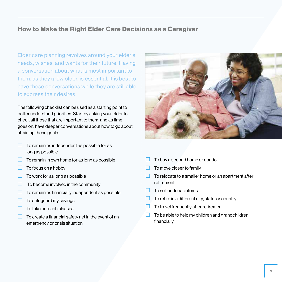# How to Make the Right Elder Care Decisions as a Caregiver

Elder care planning revolves around your elder's needs, wishes, and wants for their future. Having a conversation about what is most important to them, as they grow older, is essential. It is best to have these conversations while they are still able to express their desires.

The following checklist can be used as a starting point to better understand priorities. Start by asking your elder to check all those that are important to them, and as time goes on, have deeper conversations about how to go about attaining these goals.

- $\Box$  To remain as independent as possible for as long as possible
- $\Box$  To remain in own home for as long as possible
- $\Box$  To focus on a hobby
- $\Box$  To work for as long as possible
- $\Box$  To become involved in the community
- $\Box$  To remain as financially independent as possible
- To safeguard my savings
- To take or teach classes
- To create a financial safety net in the event of an emergency or crisis situation



- $\Box$  To buy a second home or condo
- $\Box$  To move closer to family
- $\Box$  To relocate to a smaller home or an apartment after retirement
- $\Box$  To sell or donate items
- $\Box$  To retire in a different city, state, or country
- $\Box$  To travel frequently after retirement
- $\Box$  To be able to help my children and grandchildren financially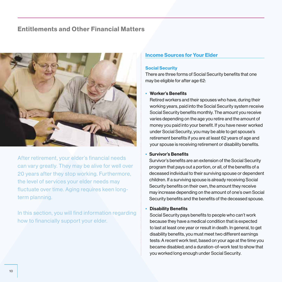# Entitlements and Other Financial Matters



After retirement, your elder's financial needs can vary greatly. They may be alive for well over 20 years after they stop working. Furthermore, the level of services your elder needs may fluctuate over time. Aging requires keen longterm planning.

In this section, you will find information regarding how to financially support your elder.

## Income Sources for Your Elder

## Social Security

There are three forms of Social Security benefits that one may be eligible for after age 62:

## • Worker's Benefits

 Retired workers and their spouses who have, during their working years, paid into the Social Security system receive Social Security benefits monthly. The amount you receive varies depending on the age you retire and the amount of money you paid into your benefit. If you have never worked under Social Security, you may be able to get spouse's retirement benefits if you are at least 62 years of age and your spouse is receiving retirement or disability benefits.

## • Survivor's Benefits

 Survivor's benefits are an extension of the Social Security program that pays out a portion, or all, of the benefits of a deceased individual to their surviving spouse or dependent children. If a surviving spouse is already receiving Social Security benefits on their own, the amount they receive may increase depending on the amount of one's own Social Security benefits and the benefits of the deceased spouse.

## • Disability Benefits

 Social Security pays benefits to people who can't work because they have a medical condition that is expected to last at least one year or result in death. In general, to get disability benefits, you must meet two different earnings tests: A recent work test, based on your age at the time you became disabled; and a duration-of-work test to show that you worked long enough under Social Security.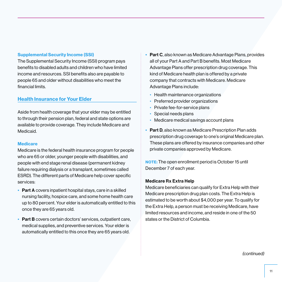## Supplemental Security Income (SSI)

The Supplemental Security Income (SSI) program pays benefits to disabled adults and children who have limited income and resources. SSI benefits also are payable to people 65 and older without disabilities who meet the financial limits.

## Health Insurance for Your Elder

Aside from health coverage that your elder may be entitled to through their pension plan, federal and state options are available to provide coverage. They include Medicare and Medicaid.

## **Medicare**

Medicare is the federal health insurance program for people who are 65 or older, younger people with disabilities, and people with end stage renal disease (permanent kidney failure requiring dialysis or a transplant, sometimes called ESRD). The different parts of Medicare help cover specific services:

- Part A covers inpatient hospital stays, care in a skilled nursing facility, hospice care, and some home health care up to 80 percent. Your elder is automatically entitled to this once they are 65 years old.
- Part B covers certain doctors' services, outpatient care, medical supplies, and preventive services. Your elder is automatically entitled to this once they are 65 years old.
- **Part C, also known as Medicare Advantage Plans, provides** all of your Part A and Part B benefits. Most Medicare Advantage Plans offer prescription drug coverage. This kind of Medicare health plan is offered by a private company that contracts with Medicare. Medicare Advantage Plans include:
	- Health maintenance organizations
	- Preferred provider organizations
	- Private fee-for-service plans
	- Special needs plans
	- Medicare medical savings account plans
- Part D, also known as Medicare Prescription Plan adds prescription drug coverage to one's original Medicare plan. These plans are offered by insurance companies and other private companies approved by Medicare.

NOTE: The open enrollment period is October 15 until December 7 of each year.

#### Medicare Rx Extra Help

Medicare beneficiaries can qualify for Extra Help with their Medicare prescription drug plan costs. The Extra Help is estimated to be worth about \$4,000 per year. To qualify for the Extra Help, a person must be receiving Medicare, have limited resources and income, and reside in one of the 50 states or the District of Columbia.

*(continued)*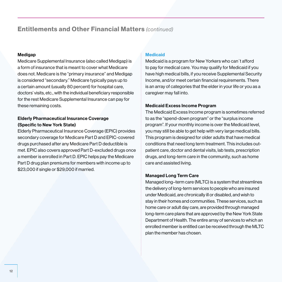# Entitlements and Other Financial Matters *(continued)*

## Medigap

Medicare Supplemental Insurance (also called Medigap) is a form of insurance that is meant to cover what Medicare does not. Medicare is the "primary insurance" and Medigap is considered "secondary." Medicare typically pays up to a certain amount (usually 80 percent) for hospital care, doctors' visits, etc., with the individual beneficiary responsible for the rest Medicare Supplemental Insurance can pay for these remaining costs.

## Elderly Pharmaceutical Insurance Coverage (Specific to New York State)

Elderly Pharmaceutical Insurance Coverage (EPIC) provides secondary coverage for Medicare Part D and EPIC-covered drugs purchased after any Medicare Part D deductible is met. EPIC also covers approved Part D-excluded drugs once a member is enrolled in Part D. EPIC helps pay the Medicare Part D drug plan premiums for members with income up to \$23,000 if single or \$29,000 if married.

## Medicaid

Medicaid is a program for New Yorkers who can´t afford to pay for medical care. You may qualify for Medicaid if you have high medical bills, if you receive Supplemental Security Income, and/or meet certain financial requirements. There is an array of categories that the elder in your life or you as a caregiver may fall into.

## Medicaid Excess Income Program

The Medicaid Excess Income program is sometimes referred to as the "spend-down program" or the "surplus income program". If your monthly income is over the Medicaid level, you may still be able to get help with very large medical bills. This program is designed for older adults that have medical conditions that need long term treatment. This includes outpatient care, doctor and dental visits, lab tests, prescription drugs, and long-term care in the community, such as home care and assisted living.

## Managed Long Term Care

Managed long–term care (MLTC) is a system that streamlines the delivery of long-term services to people who are insured under Medicaid, are chronically ill or disabled, and wish to stay in their homes and communities. These services, such as home care or adult day care, are provided through managed long-term care plans that are approved by the New York State Department of Health. The entire array of services to which an enrolled member is entitled can be received through the MLTC plan the member has chosen.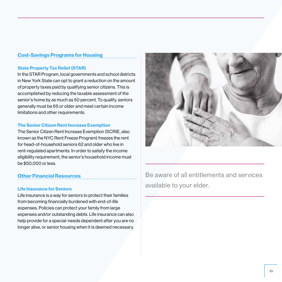## Cost-Savings Programs for Housing

## State Property Tax Relief (STAR)

In the STAR Program, local governments and school districts in New York State can opt to grant a reduction on the amount of property taxes paid by qualifying senior citizens. This is accomplished by reducing the taxable assessment of the senior's home by as much as 50 percent. To qualify, seniors generally must be 65 or older and meet certain income limitations and other requirements.

#### The Senior Citizen Rent Increase Exemption

The Senior Citizen Rent Increase Exemption (SCRIE, also known as the NYC Rent Freeze Program) freezes the rent for head-of-household seniors 62 and older who live in rent-regulated apartments. In order to satisfy the income eligibility requirement, the senior's household income must be \$50,000 or less.

## Other Financial Resources

## Life Insurance for Seniors

Life insurance is a way for seniors to protect their families from becoming financially burdened with end-of-life expenses. Policies can protect your family from large expenses and/or outstanding debts. Life insurance can also help provide for a special-needs dependent after you are no longer alive, or senior housing when it is deemed necessary.



Be aware of all entitlements and services available to your elder.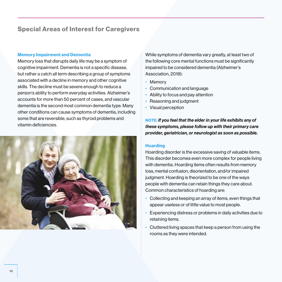# Special Areas of Interest for Caregivers

#### Memory Impairment and Dementia

Memory loss that disrupts daily life may be a symptom of cognitive impairment. Dementia is not a specific disease, but rather a catch all term describing a group of symptoms associated with a decline in memory and other cognitive skills. The decline must be severe enough to reduce a person's ability to perform everyday activities. Alzheimer's accounts for more than 50 percent of cases, and vascular dementia is the second most common dementia type. Many other conditions can cause symptoms of dementia, including some that are reversible, such as thyroid problems and vitamin deficiencies.



While symptoms of dementia vary greatly, at least two of the following core mental functions must be significantly impaired to be considered dementia (Alzheimer's Association, 2018):

- Memory
- Communication and language
- Ability to focus and pay attention
- Reasoning and judgment
- Visual perception

NOTE: *If you feel that the elder in your life exhibits any of these symptoms, please follow up with their primary care provider, geriatrician, or neurologist as soon as possible.*

## **Hoarding**

Hoarding disorder is the excessive saving of valuable items. This disorder becomes even more complex for people living with dementia. Hoarding items often results from memory loss, mental confusion, disorientation, and/or impaired judgment. Hoarding is theorized to be one of the ways people with dementia can retain things they care about. Common characteristics of hoarding are:

- Collecting and keeping an array of items, even things that appear useless or of little value to most people.
- Experiencing distress or problems in daily activities due to retaining items.
- Cluttered living spaces that keep a person from using the rooms as they were intended.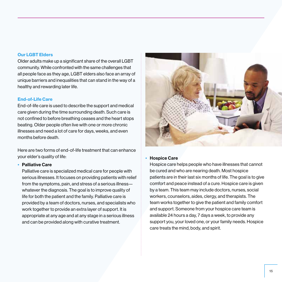#### Our LGBT Elders

Older adults make up a significant share of the overall LGBT community. While confronted with the same challenges that all people face as they age, LGBT elders also face an array of unique barriers and inequalities that can stand in the way of a healthy and rewarding later life.

#### End-of-Life Care

End-of-life care is used to describe the support and medical care given during the time surrounding death. Such care is not confined to before breathing ceases and the heart stops beating. Older people often live with one or more chronic illnesses and need a lot of care for days, weeks, and even months before death.

Here are two forms of end-of-life treatment that can enhance your elder's quality of life:

#### • Palliative Care

 Palliative care is specialized medical care for people with serious illnesses. It focuses on providing patients with relief from the symptoms, pain, and stress of a serious illness whatever the diagnosis. The goal is to improve quality of life for both the patient and the family. Palliative care is provided by a team of doctors, nurses, and specialists who work together to provide an extra layer of support. It is appropriate at any age and at any stage in a serious illness and can be provided along with curative treatment.



#### • Hospice Care

 Hospice care helps people who have illnesses that cannot be cured and who are nearing death. Most hospice patients are in their last six months of life. The goal is to give comfort and peace instead of a cure. Hospice care is given by a team. This team may include doctors, nurses, social workers, counselors, aides, clergy, and therapists. The team works together to give the patient and family comfort and support. Someone from your hospice care team is available 24 hours a day, 7 days a week, to provide any support you, your loved one, or your family needs. Hospice care treats the mind, body, and spirit.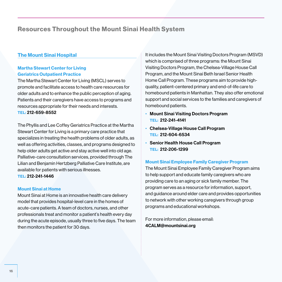# Resources Throughout the Mount Sinai Health System

## The Mount Sinai Hospital

## Martha Stewart Center for Living Geriatrics Outpatient Practice

The Martha Stewart Center for Living (MSCL) serves to promote and facilitate access to health care resources for older adults and to enhance the public perception of aging. Patients and their caregivers have access to programs and resources appropriate for their needs and interests.

#### TEL: 212-659-8552

The Phyllis and Lee Coffey Geriatrics Practice at the Martha Stewart Center for Living is a primary care practice that specializes in treating the health problems of older adults, as well as offering activities, classes, and programs designed to help older adults get active and stay active well into old age. Palliative-care consultation services, provided through The Lilian and Benjamin Hertzberg Palliative Care Institute, are available for patients with serious illnesses. TEL: 212-241-1446

#### Mount Sinai at Home

Mount Sinai at Home is an innovative health care delivery model that provides hospital-level care in the homes of acute-care patients. A team of doctors, nurses, and other professionals treat and monitor a patient's health every day during the acute episode, usually three to five days. The team then monitors the patient for 30 days.

It includes the Mount Sinai Visiting Doctors Program (MSVD) which is comprised of three programs: the Mount Sinai Visiting Doctors Program, the Chelsea-Village House Call Program, and the Mount Sinai Beth Israel Senior Health Home Call Program. These programs aim to provide highquality, patient-centered primary and end-of-life care to homebound patients in Manhattan. They also offer emotional support and social services to the families and caregivers of homebound patients.

- Mount Sinai Visiting Doctors Program TEL: 212-241-4141
- Chelsea-Village House Call Program TEL: 212-604-6534
- Senior Health House Call Program TEL: 212-206-1299

## Mount Sinai Employee Family Caregiver Program

The Mount Sinai Employee Family Caregiver Program aims to help support and educate family caregivers who are providing care to an aging or sick family member. The program serves as a resource for information, support, and guidance around elder care and provides opportunities to network with other working caregivers through group programs and educational workshops.

For more information, please email: 4CALM@mountsinai.org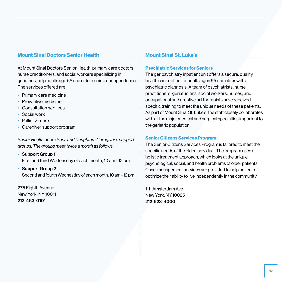## Mount Sinai Doctors Senior Health

At Mount Sinai Doctors Senior Health, primary care doctors, nurse practitioners, and social workers specializing in geriatrics, help adults age 65 and older achieve independence. The services offered are:

- Primary care medicine
- Preventive medicine
- Consultation services
- Social work
- Palliative care
- Caregiver support program

*Senior Health offers Sons and Daughters Caregiver's support groups. The groups meet twice a month as follows:*

- Support Group 1 First and third Wednesday of each month, 10 am - 12 pm
- Support Group 2 Second and fourth Wednesday of each month, 10 am - 12 pm

275 Eighth Avenue New York, NY 10011 212-463-0101

## Mount Sinai St. Luke's

## Psychiatric Services for Seniors

The geripsychiatry inpatient unit offers a secure, quality health care option for adults ages 55 and older with a psychiatric diagnosis. A team of psychiatrists, nurse practitioners, geriatricians, social workers, nurses, and occupational and creative art therapists have received specific training to meet the unique needs of these patients. As part of Mount Sinai St. Luke's, the staff closely collaborates with all the major medical and surgical specialties important to the geriatric population.

## Senior Citizens Services Program

The Senior Citizens Services Program is tailored to meet the specific needs of the older individual. The program uses a holistic treatment approach, which looks at the unique psychological, social, and health problems of older patients. Case-management services are provided to help patients optimize their ability to live independently in the community.

1111 Amsterdam Ave New York, NY 10025 212-523-4000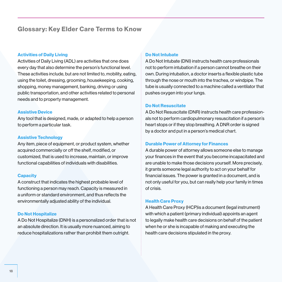# Glossary: Key Elder Care Terms to Know

#### Activities of Daily Living

Activities of Daily Living (ADL) are activities that one does every day that also determine the person's functional level. These activities include, but are not limited to, mobility, eating, using the toilet, dressing, grooming, housekeeping, cooking, shopping, money management, banking, driving or using public transportation, and other activities related to personal needs and to property management.

#### Assistive Device

Any tool that is designed, made, or adapted to help a person to perform a particular task.

## Assistive Technology

Any item, piece of equipment, or product system, whether acquired commercially or off the shelf, modified, or customized, that is used to increase, maintain, or improve functional capabilities of individuals with disabilities.

#### **Capacity**

A construct that indicates the highest probable level of functioning a person may reach. Capacity is measured in a uniform or standard environment, and thus reflects the environmentally adjusted ability of the individual.

## Do Not Hospitalize

A Do Not Hospitalize (DNH) is a personalized order that is not an absolute direction. It is usually more nuanced, aiming to reduce hospitalizations rather than prohibit them outright.

## Do Not Intubate

A Do Not Intubate (DNI) instructs health care professionals not to perform intubation if a person cannot breathe on their own. During intubation, a doctor inserts a flexible plastic tube through the nose or mouth into the trachea, or windpipe. The tube is usually connected to a machine called a ventilator that pushes oxygen into your lungs.

## Do Not Resuscitate

A Do Not Resuscitate (DNR) instructs health care professionals not to perform cardiopulmonary resuscitation if a person's heart stops or if they stop breathing. A DNR order is signed by a doctor and put in a person's medical chart.

## Durable Power of Attorney for Finances

A durable power of attorney allows someone else to manage your finances in the event that you become incapacitated and are unable to make those decisions yourself. More precisely, it grants someone legal authority to act on your behalf for financial issues. The power is granted in a document, and is not only useful for you, but can really help your family in times of crisis.

## Health Care Proxy

A Health Care Proxy (HCP)is a document (legal instrument) with which a patient (primary individual) appoints an agent to legally make health care decisions on behalf of the patient when he or she is incapable of making and executing the health care decisions stipulated in the proxy.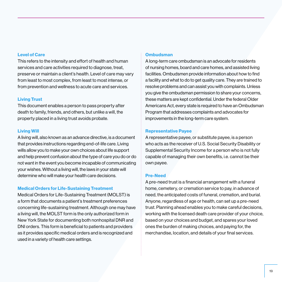#### Level of Care

This refers to the intensity and effort of health and human services and care activities required to diagnose, treat, preserve or maintain a client's health. Level of care may vary from least to most complex, from least to most intense, or from prevention and wellness to acute care and services.

## Living Trust

This document enables a person to pass property after death to family, friends, and others, but unlike a will, the property placed in a living trust avoids probate.

#### Living Will

A living will, also known as an advance directive, is a document that provides instructions regarding end-of-life care. Living wills allow you to make your own choices about life support and help prevent confusion about the type of care you do or do not want in the event you become incapable of communicating your wishes. Without a living will, the laws in your state will determine who will make your health care decisions.

## Medical Orders for Life-Sustaining Treatment

Medical Orders for Life-Sustaining Treatment (MOLST) is a form that documents a patient's treatment preferences concerning life-sustaining treatment. Although one may have a living will, the MOLST form is the only authorized form in New York State for documenting both nonhospital DNR and DNI orders. This form is beneficial to patients and providers as it provides specific medical orders and is recognized and used in a variety of health care settings.

#### Ombudsman

A long-term care ombudsman is an advocate for residents of nursing homes, board and care homes, and assisted living facilities. Ombudsmen provide information about how to find a facility and what to do to get quality care. They are trained to resolve problems and can assist you with complaints. Unless you give the ombudsman permission to share your concerns, these matters are kept confidential. Under the federal Older Americans Act, every state is required to have an Ombudsman Program that addresses complaints and advocates for improvements in the long-term care system.

## Representative Payee

A representative payee, or substitute payee, is a person who acts as the receiver of U.S. Social Security Disability or Supplemental Security Income for a person who is not fully capable of managing their own benefits, i.e. cannot be their own payee.

## Pre-Need

A pre-need trust is a financial arrangement with a funeral home, cemetery, or cremation service to pay, in advance of need, the anticipated costs of funeral, cremation, and burial. Anyone, regardless of age or health, can set up a pre-need trust. Planning ahead enables you to make careful decisions, working with the licensed death care provider of your choice, based on your choices and budget, and spares your loved ones the burden of making choices, and paying for, the merchandise, location, and details of your final services.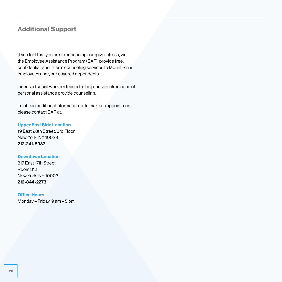# Additional Support

If you feel that you are experiencing caregiver stress, we, the Employee Assistance Program (EAP), provide free, confidential, short-term counseling services to Mount Sinai employees and your covered dependents.

Licensed social workers trained to help individuals in need of personal assistance provide counseling.

To obtain additional information or to make an appointment, please contact EAP at:

## Upper East Side Location

19 East 98th Street, 3rd Floor New York, NY 10029 212-241-8937

#### Downtown Location

317 East 17th Street Room 312 New York, NY 10003 212-844-2273

Office Hours Monday – Friday, 9 am – 5 pm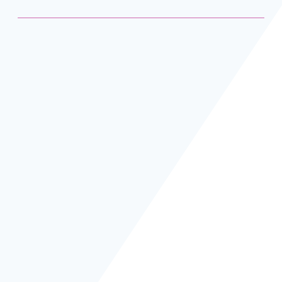